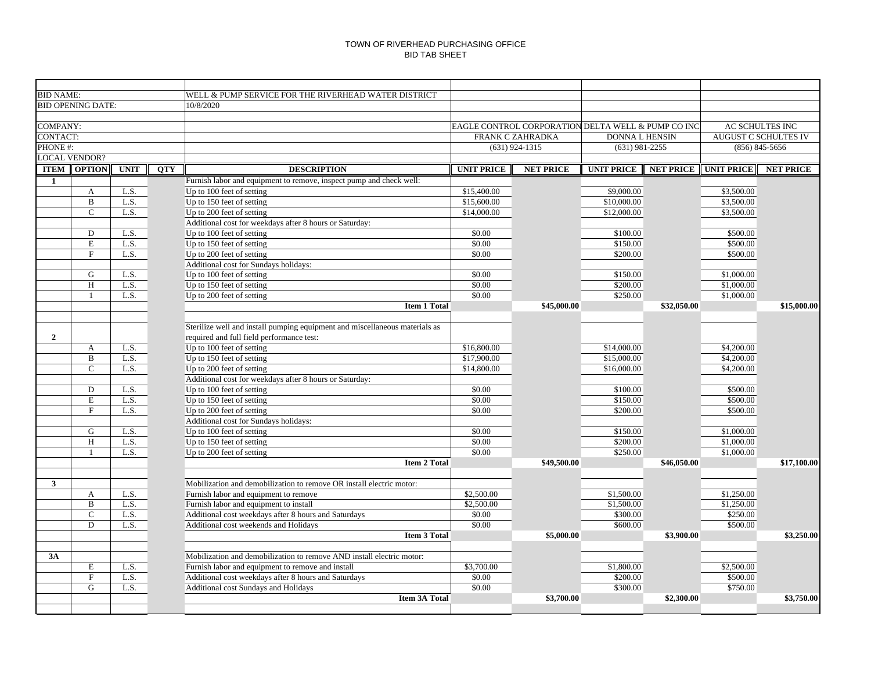| <b>BID NAME:</b>         |               |             |            | WELL & PUMP SERVICE FOR THE RIVERHEAD WATER DISTRICT                        |                                                                                                                                |                  |                                        |                  |                   |                  |  |
|--------------------------|---------------|-------------|------------|-----------------------------------------------------------------------------|--------------------------------------------------------------------------------------------------------------------------------|------------------|----------------------------------------|------------------|-------------------|------------------|--|
| <b>BID OPENING DATE:</b> |               |             |            | 10/8/2020                                                                   |                                                                                                                                |                  |                                        |                  |                   |                  |  |
|                          |               |             |            |                                                                             |                                                                                                                                |                  |                                        |                  |                   |                  |  |
| COMPANY:                 |               |             |            |                                                                             |                                                                                                                                |                  |                                        |                  |                   | AC SCHULTES INC  |  |
| CONTACT:                 |               |             |            |                                                                             | EAGLE CONTROL CORPORATION DELTA WELL & PUMP CO INC<br><b>DONNA L HENSIN</b><br><b>AUGUST C SCHULTES IV</b><br>FRANK C ZAHRADKA |                  |                                        |                  |                   |                  |  |
| PHONE #:                 |               |             |            |                                                                             |                                                                                                                                | $(631)$ 924-1315 | $(631)$ 981-2255<br>$(856) 845 - 5656$ |                  |                   |                  |  |
| <b>LOCAL VENDOR?</b>     |               |             |            |                                                                             |                                                                                                                                |                  |                                        |                  |                   |                  |  |
| <b>ITEM</b>              | <b>OPTION</b> | <b>UNIT</b> | <b>QTY</b> | <b>DESCRIPTION</b>                                                          | <b>UNIT PRICE</b>                                                                                                              | <b>NET PRICE</b> | <b>UNIT PRICE</b>                      | <b>NET PRICE</b> | <b>UNIT PRICE</b> | <b>NET PRICE</b> |  |
| $\mathbf{1}$             |               |             |            | Furnish labor and equipment to remove, inspect pump and check well:         |                                                                                                                                |                  |                                        |                  |                   |                  |  |
|                          | $\mathbf{A}$  | L.S.        |            | Up to 100 feet of setting                                                   | \$15,400.00                                                                                                                    |                  | \$9,000.00                             |                  | \$3,500.00        |                  |  |
|                          | $\, {\bf B}$  | L.S.        |            | Up to 150 feet of setting                                                   | \$15,600.00                                                                                                                    |                  | \$10,000.00                            |                  | \$3,500.00        |                  |  |
|                          | $\mathsf{C}$  | L.S.        |            | Up to 200 feet of setting                                                   | \$14,000.00                                                                                                                    |                  | \$12,000.00                            |                  | \$3,500.00        |                  |  |
|                          |               |             |            | Additional cost for weekdays after 8 hours or Saturday:                     |                                                                                                                                |                  |                                        |                  |                   |                  |  |
|                          | D             | L.S.        |            | Up to 100 feet of setting                                                   | \$0.00                                                                                                                         |                  | \$100.00                               |                  | \$500.00          |                  |  |
|                          | $\mathbf E$   | L.S.        |            | Up to 150 feet of setting                                                   | \$0.00                                                                                                                         |                  | \$150.00                               |                  | \$500.00          |                  |  |
|                          | $\mathbf F$   | L.S.        |            | Up to 200 feet of setting                                                   | \$0.00                                                                                                                         |                  | \$200.00                               |                  | \$500.00          |                  |  |
|                          |               |             |            | Additional cost for Sundays holidays:                                       |                                                                                                                                |                  |                                        |                  |                   |                  |  |
|                          | G             | L.S.        |            | Up to 100 feet of setting                                                   | \$0.00                                                                                                                         |                  | \$150.00                               |                  | \$1,000.00        |                  |  |
|                          | H             | L.S.        |            | Up to 150 feet of setting                                                   | \$0.00                                                                                                                         |                  | $\overline{$}200.00$                   |                  | \$1,000.00        |                  |  |
|                          | $\mathbf{1}$  | L.S.        |            | Up to 200 feet of setting                                                   | \$0.00                                                                                                                         |                  | \$250.00                               |                  | \$1,000.00        |                  |  |
|                          |               |             |            | <b>Item 1 Total</b>                                                         |                                                                                                                                | \$45,000.00      |                                        | \$32,050.00      |                   | \$15,000.00      |  |
|                          |               |             |            |                                                                             |                                                                                                                                |                  |                                        |                  |                   |                  |  |
|                          |               |             |            | Sterilize well and install pumping equipment and miscellaneous materials as |                                                                                                                                |                  |                                        |                  |                   |                  |  |
| $\mathbf{2}$             |               |             |            | required and full field performance test:                                   |                                                                                                                                |                  |                                        |                  |                   |                  |  |
|                          | A             | L.S.        |            | Up to 100 feet of setting                                                   | \$16,800.00                                                                                                                    |                  | \$14,000.00                            |                  | \$4,200.00        |                  |  |
|                          | B             | L.S.        |            | $\overline{\text{Up}}$ to 150 feet of setting                               | \$17,900.00                                                                                                                    |                  | \$15,000.00                            |                  | \$4,200.00        |                  |  |
|                          | $\mathcal{C}$ | L.S.        |            | Up to 200 feet of setting                                                   | \$14,800.00                                                                                                                    |                  | \$16,000.00                            |                  | \$4,200.00        |                  |  |
|                          |               |             |            | Additional cost for weekdays after 8 hours or Saturday:                     |                                                                                                                                |                  |                                        |                  |                   |                  |  |
|                          | D             | L.S.        |            | Up to 100 feet of setting                                                   | \$0.00                                                                                                                         |                  | \$100.00                               |                  | \$500.00          |                  |  |
|                          | $\mathbf E$   | L.S.        |            | Up to 150 feet of setting                                                   | \$0.00                                                                                                                         |                  | \$150.00                               |                  | \$500.00          |                  |  |
|                          | F             | L.S.        |            | Up to 200 feet of setting                                                   | \$0.00                                                                                                                         |                  | \$200.00                               |                  | \$500.00          |                  |  |
|                          |               |             |            | Additional cost for Sundays holidays:                                       |                                                                                                                                |                  |                                        |                  |                   |                  |  |
|                          | G             | L.S.        |            | Up to 100 feet of setting                                                   | \$0.00                                                                                                                         |                  | \$150.00                               |                  | \$1,000.00        |                  |  |
|                          | H             | L.S.        |            | Up to 150 feet of setting                                                   | \$0.00                                                                                                                         |                  | \$200.00                               |                  | \$1,000.00        |                  |  |
|                          | $\mathbf{1}$  | L.S.        |            | Up to 200 feet of setting                                                   | \$0.00                                                                                                                         |                  | \$250.00                               |                  | \$1,000.00        |                  |  |
|                          |               |             |            | <b>Item 2 Total</b>                                                         |                                                                                                                                | \$49,500.00      |                                        | \$46,050.00      |                   | \$17,100.00      |  |
|                          |               |             |            |                                                                             |                                                                                                                                |                  |                                        |                  |                   |                  |  |
| $\mathbf{3}$             |               |             |            | Mobilization and demobilization to remove OR install electric motor:        |                                                                                                                                |                  |                                        |                  |                   |                  |  |
|                          | A             | L.S.        |            | Furnish labor and equipment to remove                                       | \$2,500.00                                                                                                                     |                  | \$1,500.00                             |                  | \$1,250.00        |                  |  |
|                          | $\mathbf B$   | L.S.        |            | Furnish labor and equipment to install                                      | \$2,500.00                                                                                                                     |                  | \$1,500.00                             |                  | \$1,250.00        |                  |  |
|                          | $\mathbf C$   | L.S.        |            | Additional cost weekdays after 8 hours and Saturdays                        | \$0.00                                                                                                                         |                  | \$300.00                               |                  | \$250.00          |                  |  |
|                          | D             | L.S.        |            | Additional cost weekends and Holidays                                       | \$0.00                                                                                                                         |                  | \$600.00                               |                  | \$500.00          |                  |  |
|                          |               |             |            | <b>Item 3 Total</b>                                                         |                                                                                                                                | \$5,000.00       |                                        | \$3,900.00       |                   | \$3,250.00       |  |
|                          |               |             |            |                                                                             |                                                                                                                                |                  |                                        |                  |                   |                  |  |
| 3A                       |               |             |            | Mobilization and demobilization to remove AND install electric motor:       |                                                                                                                                |                  |                                        |                  |                   |                  |  |
|                          | E             | L.S.        |            | Furnish labor and equipment to remove and install                           | \$3,700.00                                                                                                                     |                  | \$1,800.00                             |                  | \$2,500.00        |                  |  |
|                          | $\mathbf F$   | L.S.        |            | Additional cost weekdays after 8 hours and Saturdays                        | \$0.00                                                                                                                         |                  | \$200.00                               |                  | \$500.00          |                  |  |
|                          | G             | L.S.        |            | Additional cost Sundays and Holidays                                        | \$0.00                                                                                                                         |                  | \$300.00                               |                  | \$750.00          |                  |  |
|                          |               |             |            | <b>Item 3A Total</b>                                                        |                                                                                                                                | \$3,700.00       |                                        | \$2,300.00       |                   | \$3,750.00       |  |
|                          |               |             |            |                                                                             |                                                                                                                                |                  |                                        |                  |                   |                  |  |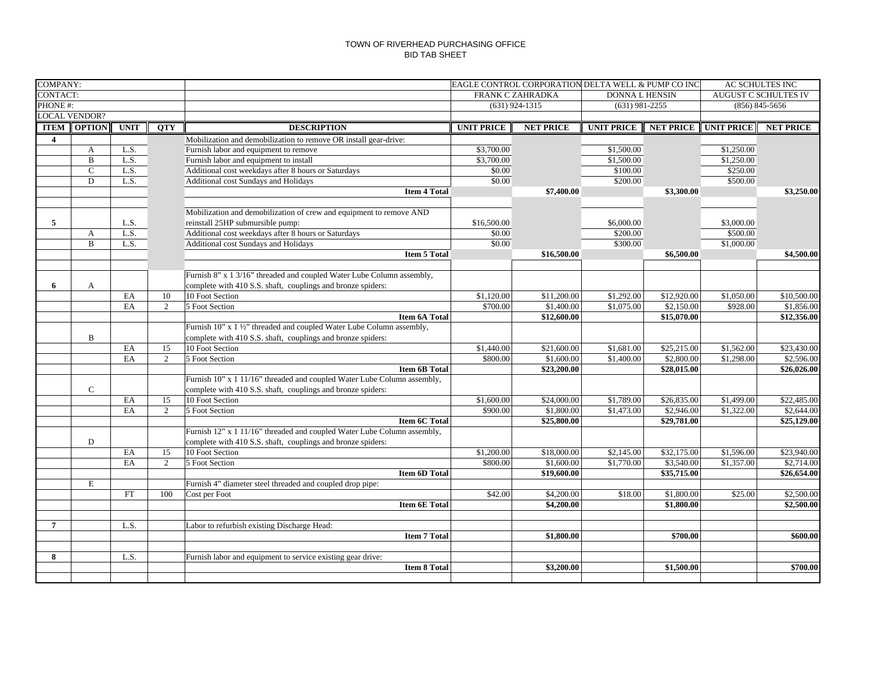| <b>COMPANY:</b>      |                    |              |            |                                                                                                 |                                           | EAGLE CONTROL CORPORATION DELTA WELL & PUMP CO INC | AC SCHULTES INC        |                             |                        |                  |
|----------------------|--------------------|--------------|------------|-------------------------------------------------------------------------------------------------|-------------------------------------------|----------------------------------------------------|------------------------|-----------------------------|------------------------|------------------|
| CONTACT:             |                    |              |            |                                                                                                 | FRANK C ZAHRADKA<br><b>DONNA L HENSIN</b> |                                                    |                        | <b>AUGUST C SCHULTES IV</b> |                        |                  |
| PHONE #:             |                    |              |            |                                                                                                 | $(631)$ 924-1315                          |                                                    | $(631)$ 981-2255       |                             | $(856) 845 - 5656$     |                  |
| <b>LOCAL VENDOR?</b> |                    |              |            |                                                                                                 |                                           |                                                    |                        |                             |                        |                  |
|                      | <b>ITEM OPTION</b> | <b>UNIT</b>  | <b>OTY</b> | <b>DESCRIPTION</b>                                                                              | <b>UNIT PRICE</b>                         | <b>NET PRICE</b>                                   | <b>UNIT PRICE</b>      | <b>NET PRICE</b>            | <b>UNIT PRICE</b>      | <b>NET PRICE</b> |
| $\overline{4}$       |                    |              |            | Mobilization and demobilization to remove OR install gear-drive:                                |                                           |                                                    |                        |                             |                        |                  |
|                      | $\mathbf{A}$       | L.S.         |            | Furnish labor and equipment to remove                                                           | \$3,700.00                                |                                                    | \$1,500.00             |                             | \$1,250.00             |                  |
|                      | $\mathbf B$        | L.S.         |            | Furnish labor and equipment to install                                                          | \$3,700.00                                |                                                    | \$1,500.00             |                             | \$1,250.00             |                  |
|                      | $\mathcal{C}$      | L.S.         |            | Additional cost weekdays after 8 hours or Saturdays                                             | \$0.00                                    |                                                    | \$100.00               |                             | \$250.00               |                  |
|                      | D                  | L.S.         |            | Additional cost Sundays and Holidays                                                            | \$0.00                                    |                                                    | \$200.00               |                             | \$500.00               |                  |
|                      |                    |              |            | <b>Item 4 Total</b>                                                                             |                                           | \$7,400.00                                         |                        | \$3,300.00                  |                        | \$3,250.00       |
|                      |                    |              |            |                                                                                                 |                                           |                                                    |                        |                             |                        |                  |
|                      |                    |              |            | Mobilization and demobilization of crew and equipment to remove AND                             |                                           |                                                    |                        |                             |                        |                  |
| 5                    |                    | L.S.<br>L.S. |            | reinstall 25HP submursible pump:                                                                | \$16,500.00<br>\$0.00                     |                                                    | \$6,000.00<br>\$200.00 |                             | \$3,000.00<br>\$500.00 |                  |
|                      | $\mathbf{A}$       |              |            | Additional cost weekdays after 8 hours or Saturdays                                             |                                           |                                                    |                        |                             |                        |                  |
|                      | B                  | L.S.         |            | Additional cost Sundays and Holidays<br><b>Item 5 Total</b>                                     | \$0.00                                    | \$16,500.00                                        | \$300.00               | \$6,500.00                  | \$1,000.00             | \$4,500.00       |
|                      |                    |              |            |                                                                                                 |                                           |                                                    |                        |                             |                        |                  |
|                      |                    |              |            | Furnish 8" x 1 3/16" threaded and coupled Water Lube Column assembly,                           |                                           |                                                    |                        |                             |                        |                  |
| 6                    | A                  |              |            | complete with 410 S.S. shaft, couplings and bronze spiders:                                     |                                           |                                                    |                        |                             |                        |                  |
|                      |                    | EA           | 10         | 10 Foot Section                                                                                 | $\overline{$1,120.00}$                    | \$11,200.00                                        | \$1,292.00             | \$12,920.00                 | \$1,050.00             | \$10,500.00      |
|                      |                    | EA           | 2          | 5 Foot Section                                                                                  | \$700.00                                  | \$1,400.00                                         | \$1,075.00             | \$2,150.00                  | \$928.00               | \$1,856.00       |
|                      |                    |              |            | <b>Item 6A Total</b>                                                                            |                                           | \$12,600.00                                        |                        | \$15,070.00                 |                        | \$12,356.00      |
|                      |                    |              |            | Furnish 10" x 1 1/2" threaded and coupled Water Lube Column assembly,                           |                                           |                                                    |                        |                             |                        |                  |
|                      | B                  |              |            | complete with 410 S.S. shaft, couplings and bronze spiders:                                     |                                           |                                                    |                        |                             |                        |                  |
|                      |                    | EA           | 15         | 10 Foot Section                                                                                 | \$1,440.00                                | \$21,600.00                                        | \$1,681.00             | \$25,215.00                 | \$1,562.00             | \$23,430.00      |
|                      |                    | EA           | 2          | 5 Foot Section                                                                                  | \$800.00                                  | \$1,600.00                                         | \$1,400.00             | \$2,800.00                  | \$1,298.00             | \$2,596.00       |
|                      |                    |              |            | <b>Item 6B Total</b>                                                                            |                                           | \$23,200.00                                        |                        | \$28,015.00                 |                        | \$26,026.00      |
|                      |                    |              |            | Furnish 10" x 1 11/16" threaded and coupled Water Lube Column assembly,                         |                                           |                                                    |                        |                             |                        |                  |
|                      | $\mathbf C$        |              |            | complete with 410 S.S. shaft, couplings and bronze spiders:                                     |                                           |                                                    |                        |                             |                        |                  |
|                      |                    | EA           | 15         | 10 Foot Section                                                                                 | \$1,600.00                                | \$24,000.00                                        | \$1,789.00             | \$26,835.00                 | \$1,499.00             | \$22,485.00      |
|                      |                    | EA           | 2          | 5 Foot Section                                                                                  | \$900.00                                  | \$1,800.00                                         | \$1,473.00             | \$2,946.00                  | \$1,322.00             | \$2,644.00       |
|                      |                    |              |            | <b>Item 6C Total</b><br>Furnish 12" x 1 11/16" threaded and coupled Water Lube Column assembly, |                                           | \$25,800.00                                        |                        | \$29,781.00                 |                        | \$25,129.00      |
|                      | $\mathbf D$        |              |            |                                                                                                 |                                           |                                                    |                        |                             |                        |                  |
|                      |                    | EA           | 15         | complete with 410 S.S. shaft, couplings and bronze spiders:<br>10 Foot Section                  | \$1,200.00                                | \$18,000.00                                        | \$2,145.00             | \$32,175.00                 | \$1,596.00             | \$23,940.00      |
|                      |                    | EA           | 2          | 5 Foot Section                                                                                  | \$800.00                                  | \$1,600.00                                         | \$1,770.00             | \$3,540.00                  | \$1,357.00             | \$2,714.00       |
|                      |                    |              |            | <b>Item 6D Total</b>                                                                            |                                           | \$19,600.00                                        |                        | \$35,715.00                 |                        | \$26,654.00      |
|                      | E                  |              |            | Furnish 4" diameter steel threaded and coupled drop pipe:                                       |                                           |                                                    |                        |                             |                        |                  |
|                      |                    | FT           | 100        | Cost per Foot                                                                                   | \$42.00                                   | \$4,200.00                                         | \$18.00                | \$1,800.00                  | \$25.00                | \$2,500.00       |
|                      |                    |              |            | <b>Item 6E Total</b>                                                                            |                                           | \$4,200.00                                         |                        | \$1,800.00                  |                        | \$2,500.00       |
|                      |                    |              |            |                                                                                                 |                                           |                                                    |                        |                             |                        |                  |
| $\overline{7}$       |                    | L.S.         |            | Labor to refurbish existing Discharge Head:                                                     |                                           |                                                    |                        |                             |                        |                  |
|                      |                    |              |            | <b>Item 7 Total</b>                                                                             |                                           | \$1,800.00                                         |                        | \$700.00                    |                        | \$600.00         |
|                      |                    |              |            |                                                                                                 |                                           |                                                    |                        |                             |                        |                  |
| 8                    |                    | L.S.         |            | Furnish labor and equipment to service existing gear drive:                                     |                                           |                                                    |                        |                             |                        |                  |
|                      |                    |              |            | <b>Item 8 Total</b>                                                                             |                                           | \$3,200.00                                         |                        | \$1,500.00                  |                        | \$700.00         |
|                      |                    |              |            |                                                                                                 |                                           |                                                    |                        |                             |                        |                  |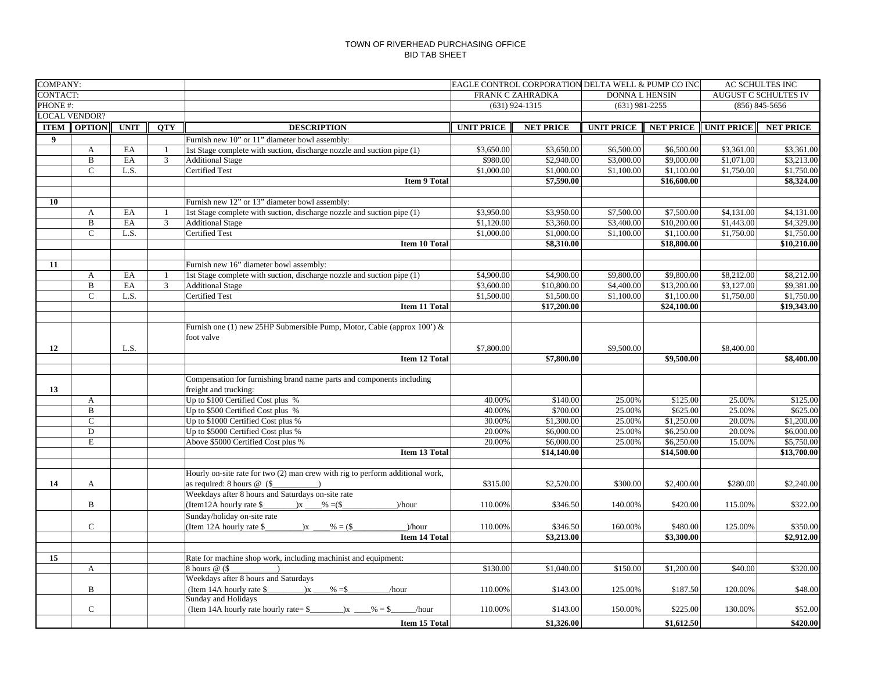| <b>COMPANY:</b> |                      |             |                | EAGLE CONTROL CORPORATION DELTA WELL & PUMP CO INC                                                                                                                                                                                                                                                                                                                                                                |                                           |                  |                   |                             |                   | AC SCHULTES INC  |  |
|-----------------|----------------------|-------------|----------------|-------------------------------------------------------------------------------------------------------------------------------------------------------------------------------------------------------------------------------------------------------------------------------------------------------------------------------------------------------------------------------------------------------------------|-------------------------------------------|------------------|-------------------|-----------------------------|-------------------|------------------|--|
| CONTACT:        |                      |             |                |                                                                                                                                                                                                                                                                                                                                                                                                                   | FRANK C ZAHRADKA<br><b>DONNA L HENSIN</b> |                  |                   | <b>AUGUST C SCHULTES IV</b> |                   |                  |  |
| PHONE #:        |                      |             |                |                                                                                                                                                                                                                                                                                                                                                                                                                   | $(631)$ 924-1315<br>$(631)$ 981-2255      |                  |                   | $(856) 845 - 5656$          |                   |                  |  |
|                 | <b>LOCAL VENDOR?</b> |             |                |                                                                                                                                                                                                                                                                                                                                                                                                                   |                                           |                  |                   |                             |                   |                  |  |
| <b>ITEM</b>     | <b>OPTION</b>        | <b>UNIT</b> | <b>OTY</b>     | <b>DESCRIPTION</b>                                                                                                                                                                                                                                                                                                                                                                                                | <b>UNIT PRICE</b>                         | <b>NET PRICE</b> | <b>UNIT PRICE</b> | <b>NET PRICE</b>            | <b>UNIT PRICE</b> | <b>NET PRICE</b> |  |
| 9               |                      |             |                | Furnish new 10" or 11" diameter bowl assembly:                                                                                                                                                                                                                                                                                                                                                                    |                                           |                  |                   |                             |                   |                  |  |
|                 | $\mathbf{A}$         | EA          | $\mathbf{1}$   | 1st Stage complete with suction, discharge nozzle and suction pipe (1)                                                                                                                                                                                                                                                                                                                                            | \$3,650.00                                | \$3,650.00       | \$6,500.00        | \$6,500.00                  | \$3,361.00        | \$3,361.00       |  |
|                 | $\mathbf B$          | EA          | $\overline{3}$ | <b>Additional Stage</b>                                                                                                                                                                                                                                                                                                                                                                                           | \$980.00                                  | \$2,940.00       | \$3,000.00        | \$9,000.00                  | \$1,071.00        | \$3,213.00       |  |
|                 | $\mathbf C$          | L.S.        |                | <b>Certified Test</b>                                                                                                                                                                                                                                                                                                                                                                                             | \$1,000.00                                | \$1,000.00       | \$1,100.00        | \$1,100.00                  | \$1,750.00        | \$1,750.00       |  |
|                 |                      |             |                | <b>Item 9 Total</b>                                                                                                                                                                                                                                                                                                                                                                                               |                                           | \$7,590.00       |                   | \$16,600.00                 |                   | \$8,324.00       |  |
|                 |                      |             |                |                                                                                                                                                                                                                                                                                                                                                                                                                   |                                           |                  |                   |                             |                   |                  |  |
| 10              |                      |             |                | Furnish new 12" or 13" diameter bowl assembly:                                                                                                                                                                                                                                                                                                                                                                    |                                           |                  |                   |                             |                   |                  |  |
|                 | A                    | EA          | -1             | 1st Stage complete with suction, discharge nozzle and suction pipe (1)                                                                                                                                                                                                                                                                                                                                            | \$3,950.00                                | \$3,950.00       | \$7,500.00        | \$7,500.00                  | \$4,131.00        | \$4,131.00       |  |
|                 | $\mathbf B$          | EA          | $\overline{3}$ | <b>Additional Stage</b>                                                                                                                                                                                                                                                                                                                                                                                           | \$1,120.00                                | \$3,360.00       | \$3,400.00        | \$10,200.00                 | \$1,443.00        | \$4,329.00       |  |
|                 | $\mathsf{C}$         | L.S.        |                | Certified Test                                                                                                                                                                                                                                                                                                                                                                                                    | \$1,000.00                                | \$1,000.00       | \$1,100.00        | \$1,100.00                  | \$1,750.00        | \$1,750.00       |  |
|                 |                      |             |                | <b>Item 10 Total</b>                                                                                                                                                                                                                                                                                                                                                                                              |                                           | \$8,310.00       |                   | \$18,800.00                 |                   | \$10,210.00      |  |
|                 |                      |             |                |                                                                                                                                                                                                                                                                                                                                                                                                                   |                                           |                  |                   |                             |                   |                  |  |
| 11              |                      |             |                | Furnish new 16" diameter bowl assembly:                                                                                                                                                                                                                                                                                                                                                                           |                                           |                  |                   |                             |                   |                  |  |
|                 | $\mathbf{A}$         | EA          | -1             | 1st Stage complete with suction, discharge nozzle and suction pipe (1)                                                                                                                                                                                                                                                                                                                                            | \$4,900.00                                | \$4,900.00       | \$9,800.00        | \$9,800.00                  | \$8,212.00        | \$8,212.00       |  |
|                 | $\mathbf{B}$         | EA          | $\overline{3}$ | <b>Additional Stage</b>                                                                                                                                                                                                                                                                                                                                                                                           | \$3,600.00                                | \$10,800.00      | \$4,400.00        | \$13,200.00                 | \$3,127.00        | \$9,381.00       |  |
|                 | $\mathbf C$          | L.S.        |                | <b>Certified Test</b>                                                                                                                                                                                                                                                                                                                                                                                             | \$1,500.00                                | \$1,500.00       | \$1,100.00        | \$1,100.00                  | \$1,750.00        | \$1,750.00       |  |
|                 |                      |             |                | <b>Item 11 Total</b>                                                                                                                                                                                                                                                                                                                                                                                              |                                           | \$17,200.00      |                   | \$24,100.00                 |                   | \$19,343.00      |  |
|                 |                      |             |                |                                                                                                                                                                                                                                                                                                                                                                                                                   |                                           |                  |                   |                             |                   |                  |  |
|                 |                      |             |                | Furnish one (1) new 25HP Submersible Pump, Motor, Cable (approx 100') &                                                                                                                                                                                                                                                                                                                                           |                                           |                  |                   |                             |                   |                  |  |
|                 |                      |             |                | foot valve                                                                                                                                                                                                                                                                                                                                                                                                        |                                           |                  |                   |                             |                   |                  |  |
| 12              |                      | L.S.        |                |                                                                                                                                                                                                                                                                                                                                                                                                                   | \$7,800.00                                |                  | \$9,500.00        |                             | \$8,400.00        |                  |  |
|                 |                      |             |                | Item 12 Total                                                                                                                                                                                                                                                                                                                                                                                                     |                                           | \$7,800.00       |                   | \$9,500.00                  |                   | \$8,400.00       |  |
|                 |                      |             |                |                                                                                                                                                                                                                                                                                                                                                                                                                   |                                           |                  |                   |                             |                   |                  |  |
|                 |                      |             |                | Compensation for furnishing brand name parts and components including                                                                                                                                                                                                                                                                                                                                             |                                           |                  |                   |                             |                   |                  |  |
| 13              |                      |             |                | freight and trucking:                                                                                                                                                                                                                                                                                                                                                                                             |                                           |                  |                   |                             |                   |                  |  |
|                 | A                    |             |                | Up to \$100 Certified Cost plus %                                                                                                                                                                                                                                                                                                                                                                                 | 40.00%                                    | \$140.00         | 25.00%            | \$125.00                    | 25.00%            | \$125.00         |  |
|                 | B                    |             |                | Up to \$500 Certified Cost plus %                                                                                                                                                                                                                                                                                                                                                                                 | 40.00%                                    | \$700.00         | 25.00%            | \$625.00                    | 25.00%            | \$625.00         |  |
|                 | $\mathbf{C}$         |             |                | Up to \$1000 Certified Cost plus %                                                                                                                                                                                                                                                                                                                                                                                | 30.00%                                    | \$1,300.00       | 25.00%            | \$1,250.00                  | 20.00%            | \$1,200.00       |  |
|                 | D                    |             |                | Up to \$5000 Certified Cost plus %                                                                                                                                                                                                                                                                                                                                                                                | 20.00%                                    | \$6,000.00       | 25.00%            | \$6,250.00                  | 20.00%            | \$6,000.00       |  |
|                 | E                    |             |                | Above \$5000 Certified Cost plus %                                                                                                                                                                                                                                                                                                                                                                                | 20.00%                                    | \$6,000.00       | 25.00%            | \$6,250.00                  | 15.00%            | \$5,750.00       |  |
|                 |                      |             |                | Item 13 Total                                                                                                                                                                                                                                                                                                                                                                                                     |                                           | \$14,140.00      |                   | \$14,500.00                 |                   | \$13,700.00      |  |
|                 |                      |             |                |                                                                                                                                                                                                                                                                                                                                                                                                                   |                                           |                  |                   |                             |                   |                  |  |
|                 |                      |             |                | Hourly on-site rate for two (2) man crew with rig to perform additional work,                                                                                                                                                                                                                                                                                                                                     |                                           |                  |                   |                             |                   |                  |  |
| 14              | A                    |             |                | as required: $8 \text{ hours} \ @ (\$$<br>$\overline{\phantom{a}}$                                                                                                                                                                                                                                                                                                                                                | \$315.00                                  | \$2,520.00       | \$300.00          | \$2,400.00                  | \$280.00          | \$2,240.00       |  |
|                 |                      |             |                | Weekdays after 8 hours and Saturdays on-site rate                                                                                                                                                                                                                                                                                                                                                                 |                                           |                  |                   |                             |                   |                  |  |
|                 | B                    |             |                | (Item12A hourly rate $\frac{1}{2}$ $\frac{1}{2}$ $\frac{1}{2}$ $\frac{1}{2}$ $\frac{1}{2}$ $\frac{1}{2}$ $\frac{1}{2}$ $\frac{1}{2}$ $\frac{1}{2}$ $\frac{1}{2}$ $\frac{1}{2}$ $\frac{1}{2}$ $\frac{1}{2}$ $\frac{1}{2}$ $\frac{1}{2}$ $\frac{1}{2}$ $\frac{1}{2}$ $\frac{1}{2}$ $\frac{1}{2}$ $\frac{1}{2}$<br>$)/$ hour                                                                                         | 110.00%                                   | \$346.50         | 140.00%           | \$420.00                    | 115.00%           | \$322.00         |  |
|                 |                      |             |                | Sunday/holiday on-site rate                                                                                                                                                                                                                                                                                                                                                                                       |                                           |                  |                   |                             |                   |                  |  |
|                 | $\mathbf C$          |             |                | (Item 12A hourly rate \$<br>$\frac{\ }{}$ $\frac{\ }{}$ $\frac{\ }{}$ $\frac{\ }{}$ $\frac{\ }{}$ $\frac{\ }{}$ $\frac{\ }{}$ $\frac{\ }{}$ $\frac{\ }{}$ $\frac{\ }{}$ $\frac{\ }{}$ $\frac{\ }{}$ $\frac{\ }{}$ $\frac{\ }{2}$ $\frac{\ }{2}$ $\frac{\ }{2}$ $\frac{\ }{2}$ $\frac{\ }{2}$ $\frac{\ }{2}$ $\frac{\ }{2}$ $\frac{\ }{2}$ $\frac{\ }{2}$ $\frac{\ }{2}$ $\frac{\ }{2}$ $\frac{\ }{2$<br>$)/$ hour | 110.00%                                   | \$346.50         | 160.00%           | \$480.00                    | 125.00%           | \$350.00         |  |
|                 |                      |             |                | <b>Item 14 Total</b>                                                                                                                                                                                                                                                                                                                                                                                              |                                           | \$3,213.00       |                   | \$3,300.00                  |                   | \$2,912.00       |  |
|                 |                      |             |                |                                                                                                                                                                                                                                                                                                                                                                                                                   |                                           |                  |                   |                             |                   |                  |  |
| 15              |                      |             |                | Rate for machine shop work, including machinist and equipment:                                                                                                                                                                                                                                                                                                                                                    |                                           |                  |                   |                             |                   |                  |  |
|                 | $\mathbf{A}$         |             |                | 8 hours $@$ (\$                                                                                                                                                                                                                                                                                                                                                                                                   | \$130.00                                  | \$1,040.00       | \$150.00          | \$1,200.00                  | \$40.00           | \$320.00         |  |
|                 |                      |             |                | Weekdays after 8 hours and Saturdays                                                                                                                                                                                                                                                                                                                                                                              |                                           |                  |                   |                             |                   |                  |  |
|                 | B                    |             |                | (Item 14A hourly rate \$<br>$\mathbf{x}$<br>$\frac{9}{6}$ = \$<br>/hour                                                                                                                                                                                                                                                                                                                                           | 110.00%                                   | \$143.00         | 125.00%           | \$187.50                    | 120.00%           | \$48.00          |  |
|                 |                      |             |                | Sunday and Holidays                                                                                                                                                                                                                                                                                                                                                                                               |                                           |                  |                   |                             |                   |                  |  |
|                 | $\mathbf C$          |             |                | (Item 14A hourly rate hourly rate= \$<br>$\frac{9}{6}$ = \$<br>$\mathbf{x}$<br>/hour                                                                                                                                                                                                                                                                                                                              | 110.00%                                   | \$143.00         | 150.00%           | \$225.00                    | 130.00%           | \$52.00          |  |
|                 |                      |             |                |                                                                                                                                                                                                                                                                                                                                                                                                                   |                                           |                  |                   |                             |                   |                  |  |
|                 |                      |             |                | Item 15 Total                                                                                                                                                                                                                                                                                                                                                                                                     |                                           | \$1,326.00       |                   | \$1,612.50                  |                   | \$420.00         |  |